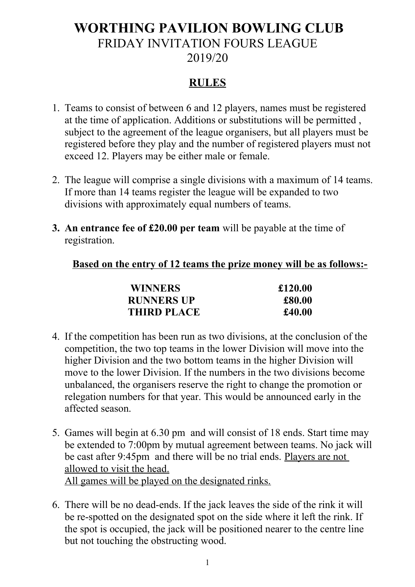## **WORTHING PAVILION BOWLING CLUB** FRIDAY INVITATION FOURS LEAGUE 2019/20

## **RULES**

- 1. Teams to consist of between 6 and 12 players, names must be registered at the time of application. Additions or substitutions will be permitted , subject to the agreement of the league organisers, but all players must be registered before they play and the number of registered players must not exceed 12. Players may be either male or female.
- 2. The league will comprise a single divisions with a maximum of 14 teams. If more than 14 teams register the league will be expanded to two divisions with approximately equal numbers of teams.
- **3. An entrance fee of £20.00 per team** will be payable at the time of registration.

## **Based on the entry of 12 teams the prize money will be as follows:-**

| <b>WINNERS</b>     | £120.00 |
|--------------------|---------|
| <b>RUNNERS UP</b>  | £80.00  |
| <b>THIRD PLACE</b> | £40.00  |

- 4. If the competition has been run as two divisions, at the conclusion of the competition, the two top teams in the lower Division will move into the higher Division and the two bottom teams in the higher Division will move to the lower Division. If the numbers in the two divisions become unbalanced, the organisers reserve the right to change the promotion or relegation numbers for that year. This would be announced early in the affected season.
- 5. Games will begin at 6.30 pm and will consist of 18 ends. Start time may be extended to 7:00pm by mutual agreement between teams. No jack will be cast after 9:45pm and there will be no trial ends. Players are not allowed to visit the head. All games will be played on the designated rinks.
- 6. There will be no dead-ends. If the jack leaves the side of the rink it will be re-spotted on the designated spot on the side where it left the rink. If the spot is occupied, the jack will be positioned nearer to the centre line but not touching the obstructing wood.